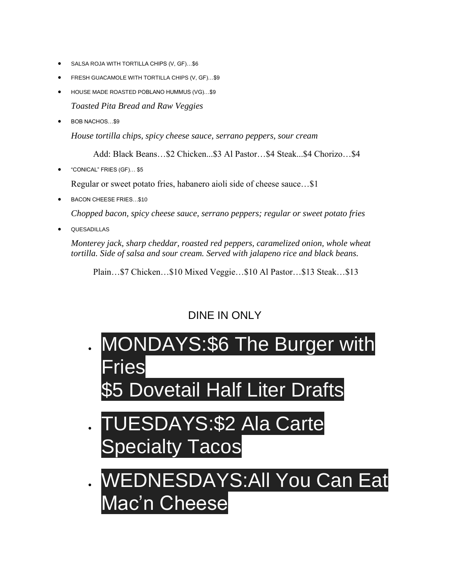- SALSA ROJA WITH TORTILLA CHIPS (V, GF)…\$6
- FRESH GUACAMOLE WITH TORTILLA CHIPS (V, GF)…\$9
- HOUSE MADE ROASTED POBLANO HUMMUS (VG)…\$9 *Toasted Pita Bread and Raw Veggies*
- BOB NACHOS...\$9

*House tortilla chips, spicy cheese sauce, serrano peppers, sour cream*

Add: Black Beans…\$2 Chicken...\$3 Al Pastor…\$4 Steak...\$4 Chorizo…\$4

• "CONICAL" FRIES (GF)… \$5

Regular or sweet potato fries, habanero aioli side of cheese sauce…\$1

• BACON CHEESE FRIES…\$10

*Chopped bacon, spicy cheese sauce, serrano peppers; regular or sweet potato fries*

**QUESADILLAS** 

*Monterey jack, sharp cheddar, roasted red peppers, caramelized onion, whole wheat tortilla. Side of salsa and sour cream. Served with jalapeno rice and black beans.*

Plain…\$7 Chicken…\$10 Mixed Veggie…\$10 Al Pastor…\$13 Steak…\$13

### DINE IN ONLY

- MONDAYS:\$6 The Burger with ries Dovetail Half Liter Drafts
- TUESDAYS:\$2 Ala Carte Specialty Tacos
- **ESDAYS: All You Can Eat** Mac'n Cheese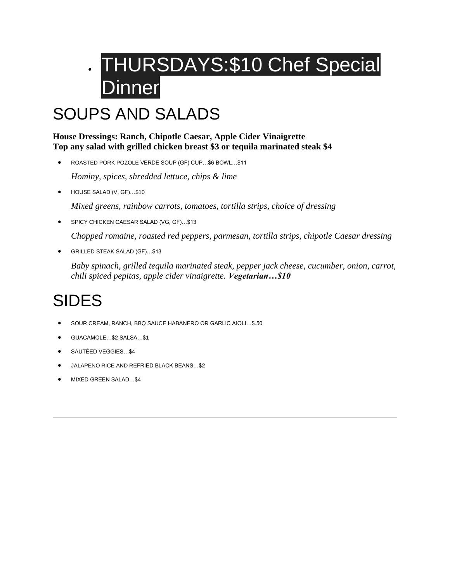# • THURSDAYS:\$10 Chef Special **Dinner**

### SOUPS AND SALADS

#### **House Dressings: Ranch, Chipotle Caesar, Apple Cider Vinaigrette Top any salad with grilled chicken breast \$3 or tequila marinated steak \$4**

- ROASTED PORK POZOLE VERDE SOUP (GF) CUP…\$6 BOWL…\$11 *Hominy, spices, shredded lettuce, chips & lime*
- HOUSE SALAD (V, GF)...\$10

*Mixed greens, rainbow carrots, tomatoes, tortilla strips, choice of dressing*

• SPICY CHICKEN CAESAR SALAD (VG, GF)...\$13

*Chopped romaine, roasted red peppers, parmesan, tortilla strips, chipotle Caesar dressing*

• GRILLED STEAK SALAD (GF)…\$13

*Baby spinach, grilled tequila marinated steak, pepper jack cheese, cucumber, onion, carrot, chili spiced pepitas, apple cider vinaigrette. Vegetarian…\$10*

## SIDES

- SOUR CREAM, RANCH, BBQ SAUCE HABANERO OR GARLIC AIOLI…\$.50
- GUACAMOLE…\$2 SALSA…\$1
- SAUTÉED VEGGIES…\$4
- JALAPENO RICE AND REFRIED BLACK BEANS…\$2
- MIXED GREEN SALAD…\$4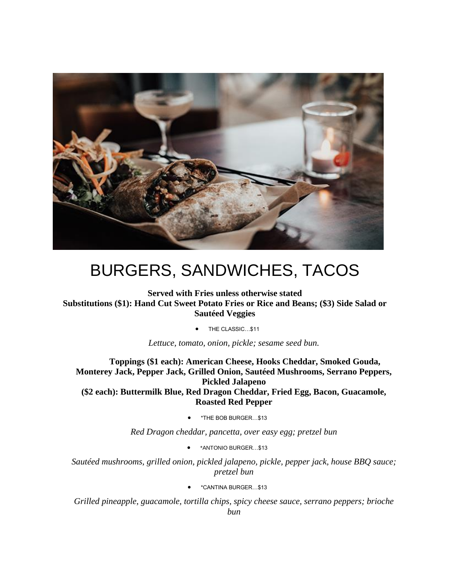

### BURGERS, SANDWICHES, TACOS

**Served with Fries unless otherwise stated Substitutions (\$1): Hand Cut Sweet Potato Fries or Rice and Beans; (\$3) Side Salad or Sautéed Veggies**

• THE CLASSIC…\$11

*Lettuce, tomato, onion, pickle; sesame seed bun.*

**Toppings (\$1 each): American Cheese, Hooks Cheddar, Smoked Gouda, Monterey Jack, Pepper Jack, Grilled Onion, Sautéed Mushrooms, Serrano Peppers, Pickled Jalapeno (\$2 each): Buttermilk Blue, Red Dragon Cheddar, Fried Egg, Bacon, Guacamole, Roasted Red Pepper**

• \*THE BOB BURGER…\$13

*Red Dragon cheddar, pancetta, over easy egg; pretzel bun*

• \*ANTONIO BURGER…\$13

*Sautéed mushrooms, grilled onion, pickled jalapeno, pickle, pepper jack, house BBQ sauce; pretzel bun*

• \*CANTINA BURGER…\$13

*Grilled pineapple, guacamole, tortilla chips, spicy cheese sauce, serrano peppers; brioche bun*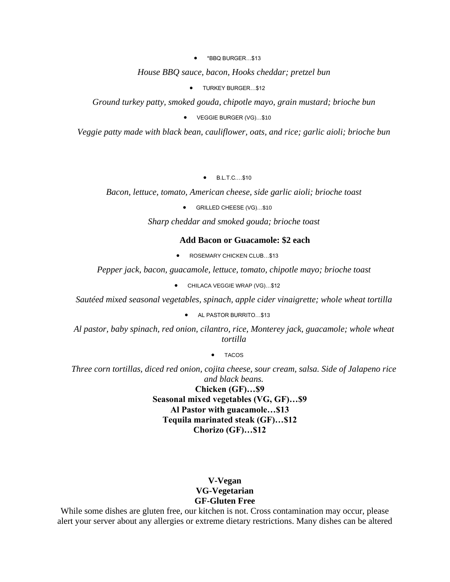• \*BBQ BURGER…\$13

*House BBQ sauce, bacon, Hooks cheddar; pretzel bun*

**•** TURKEY BURGER...\$12

*Ground turkey patty, smoked gouda, chipotle mayo, grain mustard; brioche bun*

• VEGGIE BURGER (VG)…\$10

*Veggie patty made with black bean, cauliflower, oats, and rice; garlic aioli; brioche bun*

• B.L.T.C.…\$10

*Bacon, lettuce, tomato, American cheese, side garlic aioli; brioche toast*

• GRILLED CHEESE (VG)…\$10

*Sharp cheddar and smoked gouda; brioche toast*

#### **Add Bacon or Guacamole: \$2 each**

• ROSEMARY CHICKEN CLUB...\$13

*Pepper jack, bacon, guacamole, lettuce, tomato, chipotle mayo; brioche toast*

• CHILACA VEGGIE WRAP (VG)…\$12

*Sautéed mixed seasonal vegetables, spinach, apple cider vinaigrette; whole wheat tortilla*

• AL PASTOR BURRITO…\$13

*Al pastor, baby spinach, red onion, cilantro, rice, Monterey jack, guacamole; whole wheat tortilla*

• TACOS

*Three corn tortillas, diced red onion, cojita cheese, sour cream, salsa. Side of Jalapeno rice and black beans.*

> **Chicken (GF)…\$9 Seasonal mixed vegetables (VG, GF)…\$9 Al Pastor with guacamole…\$13 Tequila marinated steak (GF)…\$12 Chorizo (GF)…\$12**

#### **V-Vegan VG-Vegetarian GF-Gluten Free**

While some dishes are gluten free, our kitchen is not. Cross contamination may occur, please alert your server about any allergies or extreme dietary restrictions. Many dishes can be altered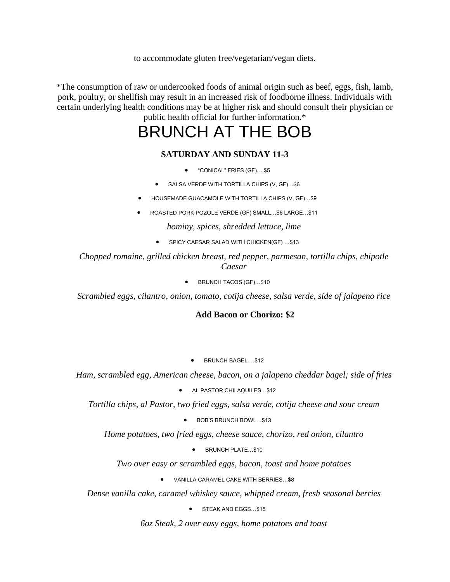to accommodate gluten free/vegetarian/vegan diets.

\*The consumption of raw or undercooked foods of animal origin such as beef, eggs, fish, lamb, pork, poultry, or shellfish may result in an increased risk of foodborne illness. Individuals with certain underlying health conditions may be at higher risk and should consult their physician or public health official for further information.\*

## BRUNCH AT THE BOB

#### **SATURDAY AND SUNDAY 11-3**

- "CONICAL" FRIES (GF)… \$5
- SALSA VERDE WITH TORTILLA CHIPS (V, GF)…\$6
- HOUSEMADE GUACAMOLE WITH TORTILLA CHIPS (V, GF)…\$9
- ROASTED PORK POZOLE VERDE (GF) SMALL…\$6 LARGE…\$11

*hominy, spices, shredded lettuce, lime*

• SPICY CAESAR SALAD WITH CHICKEN(GF) ...\$13

*Chopped romaine, grilled chicken breast, red pepper, parmesan, tortilla chips, chipotle Caesar*

• BRUNCH TACOS (GF)…\$10

*Scrambled eggs, cilantro, onion, tomato, cotija cheese, salsa verde, side of jalapeno rice*

#### **Add Bacon or Chorizo: \$2**

• BRUNCH BAGEL …\$12

*Ham, scrambled egg, American cheese, bacon, on a jalapeno cheddar bagel; side of fries*

• AL PASTOR CHILAQUILES…\$12

*Tortilla chips, al Pastor, two fried eggs, salsa verde, cotija cheese and sour cream*

• BOB'S BRUNCH BOWL…\$13

*Home potatoes, two fried eggs, cheese sauce, chorizo, red onion, cilantro*

• BRUNCH PLATE…\$10

*Two over easy or scrambled eggs, bacon, toast and home potatoes*

• VANILLA CARAMEL CAKE WITH BERRIES…\$8

*Dense vanilla cake, caramel whiskey sauce, whipped cream, fresh seasonal berries*

• STEAK AND EGGS...\$15

*6oz Steak, 2 over easy eggs, home potatoes and toast*